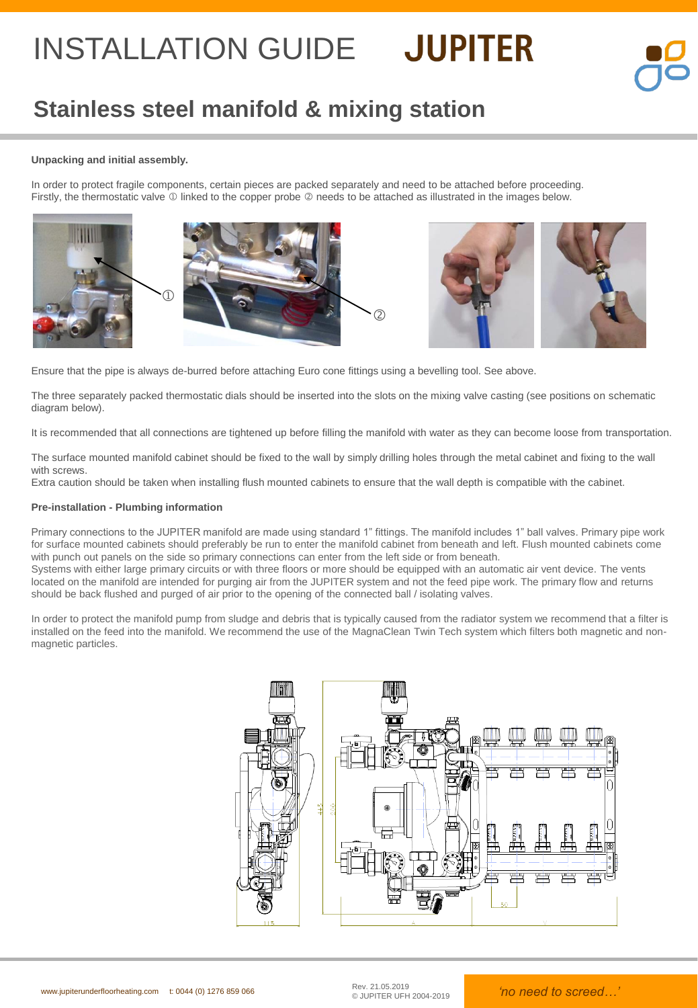### **Stainless steel manifold & mixing station**

### **Unpacking and initial assembly.**

In order to protect fragile components, certain pieces are packed separately and need to be attached before proceeding. Firstly, the thermostatic valve  $\mathbb O$  linked to the copper probe  $\mathbb O$  needs to be attached as illustrated in the images below.









Ensure that the pipe is always de-burred before attaching Euro cone fittings using a bevelling tool. See above.

The three separately packed thermostatic dials should be inserted into the slots on the mixing valve casting (see positions on schematic diagram below).

It is recommended that all connections are tightened up before filling the manifold with water as they can become loose from transportation.

The surface mounted manifold cabinet should be fixed to the wall by simply drilling holes through the metal cabinet and fixing to the wall with screws.

Extra caution should be taken when installing flush mounted cabinets to ensure that the wall depth is compatible with the cabinet.

#### **Pre-installation - Plumbing information**

Primary connections to the JUPITER manifold are made using standard 1" fittings. The manifold includes 1" ball valves. Primary pipe work for surface mounted cabinets should preferably be run to enter the manifold cabinet from beneath and left. Flush mounted cabinets come with punch out panels on the side so primary connections can enter from the left side or from beneath.

Systems with either large primary circuits or with three floors or more should be equipped with an automatic air vent device. The vents located on the manifold are intended for purging air from the JUPITER system and not the feed pipe work. The primary flow and returns should be back flushed and purged of air prior to the opening of the connected ball / isolating valves.

In order to protect the manifold pump from sludge and debris that is typically caused from the radiator system we recommend that a filter is installed on the feed into the manifold. We recommend the use of the MagnaClean Twin Tech system which filters both magnetic and nonmagnetic particles.

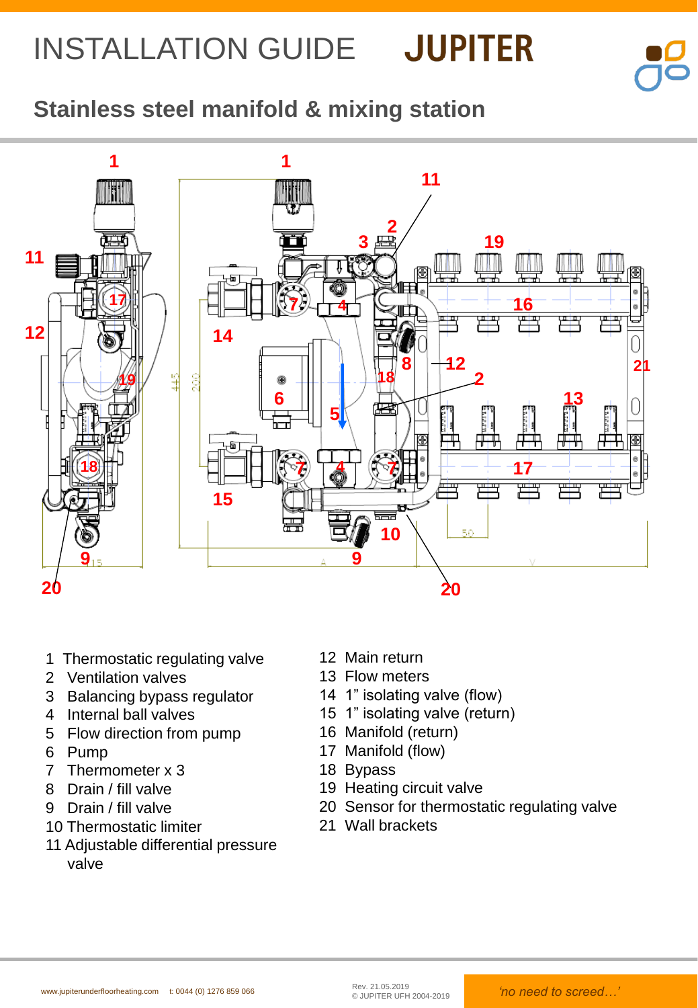

### **Stainless steel manifold & mixing station**



- 1 Thermostatic regulating valve
- 2 Ventilation valves
- 3 Balancing bypass regulator
- 4 Internal ball valves
- 5 Flow direction from pump
- 6 Pump
- 7 Thermometer x 3
- 8 Drain / fill valve
- 9 Drain / fill valve
- 10 Thermostatic limiter
- 11 Adjustable differential pressure valve
- 12 Main return
- 13 Flow meters
- 14 1" isolating valve (flow)
- 15 1" isolating valve (return)
- 16 Manifold (return)
- 17 Manifold (flow)
- 18 Bypass
- 19 Heating circuit valve
- 20 Sensor for thermostatic regulating valve
- 21 Wall brackets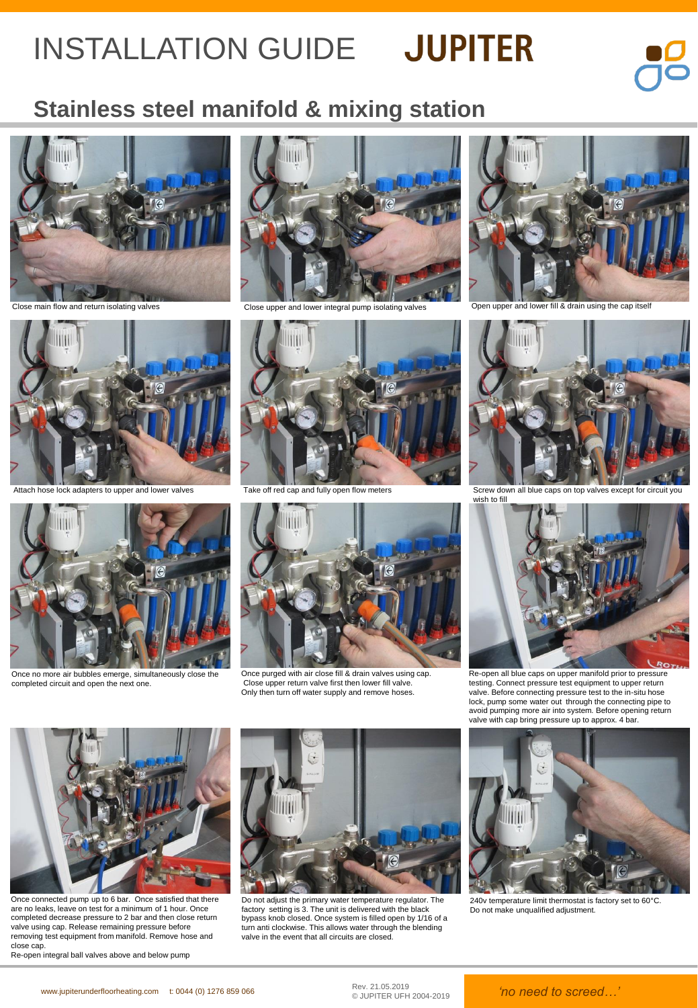

### **Stainless steel manifold & mixing station**





Attach hose lock adapters to upper and lower valves



Once no more air bubbles emerge, simultaneously close the completed circuit and open the next one.





Take off red cap and fully open flow meters



Once purged with air close fill & drain valves using cap. Close upper return valve first then lower fill valve. Only then turn off water supply and remove hoses.



Close main flow and return isolating valves examples of the Close upper and lower integral pump isolating valves open upper and lower fill & drain using the cap itself



Screw down all blue caps on top valves except for circuit you wish to fill



Re-open all blue caps on upper manifold prior to pressure testing. Connect pressure test equipment to upper return valve. Before connecting pressure test to the in-situ hose lock, pump some water out through the connecting pipe to avoid pumping more air into system. Before opening return valve with cap bring pressure up to approx. 4 bar.



Once connected pump up to 6 bar. Once satisfied that there are no leaks, leave on test for a minimum of 1 hour. Once completed decrease pressure to 2 bar and then close return valve using cap. Release remaining pressure before removing test equipment from manifold. Remove hose and close cap

Re-open integral ball valves above and below pump



Do not adjust the primary water temperature regulator. The factory setting is 3. The unit is delivered with the black bypass knob closed. Once system is filled open by 1/16 of a turn anti clockwise. This allows water through the blending valve in the event that all circuits are closed.



240v temperature limit thermostat is factory set to 60°C. Do not make unqualified adjustment.